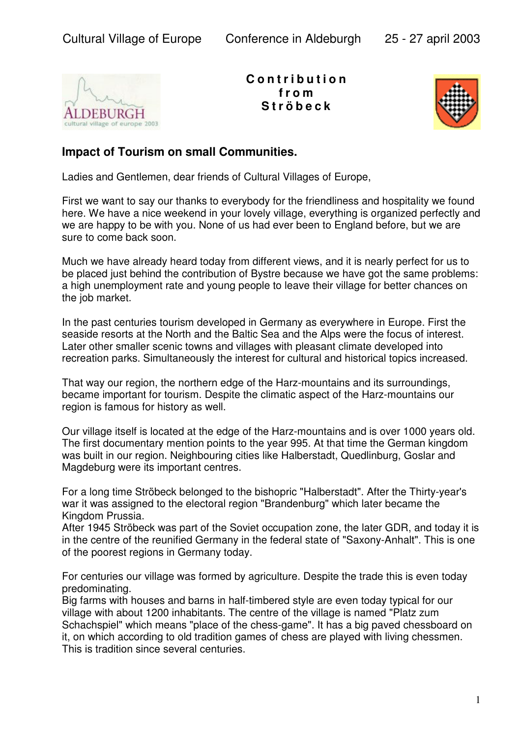

**C o n t r i b u t i o n f r o m S t r ö b e c k**



## **Impact of Tourism on small Communities.**

Ladies and Gentlemen, dear friends of Cultural Villages of Europe,

First we want to say our thanks to everybody for the friendliness and hospitality we found here. We have a nice weekend in your lovely village, everything is organized perfectly and we are happy to be with you. None of us had ever been to England before, but we are sure to come back soon.

Much we have already heard today from different views, and it is nearly perfect for us to be placed just behind the contribution of Bystre because we have got the same problems: a high unemployment rate and young people to leave their village for better chances on the job market.

In the past centuries tourism developed in Germany as everywhere in Europe. First the seaside resorts at the North and the Baltic Sea and the Alps were the focus of interest. Later other smaller scenic towns and villages with pleasant climate developed into recreation parks. Simultaneously the interest for cultural and historical topics increased.

That way our region, the northern edge of the Harz-mountains and its surroundings, became important for tourism. Despite the climatic aspect of the Harz-mountains our region is famous for history as well.

Our village itself is located at the edge of the Harz-mountains and is over 1000 years old. The first documentary mention points to the year 995. At that time the German kingdom was built in our region. Neighbouring cities like Halberstadt, Quedlinburg, Goslar and Magdeburg were its important centres.

For a long time Ströbeck belonged to the bishopric "Halberstadt". After the Thirty-year's war it was assigned to the electoral region "Brandenburg" which later became the Kingdom Prussia.

After 1945 Ströbeck was part of the Soviet occupation zone, the later GDR, and today it is in the centre of the reunified Germany in the federal state of "Saxony-Anhalt". This is one of the poorest regions in Germany today.

For centuries our village was formed by agriculture. Despite the trade this is even today predominating.

Big farms with houses and barns in half-timbered style are even today typical for our village with about 1200 inhabitants. The centre of the village is named "Platz zum Schachspiel" which means "place of the chess-game". It has a big paved chessboard on it, on which according to old tradition games of chess are played with living chessmen. This is tradition since several centuries.